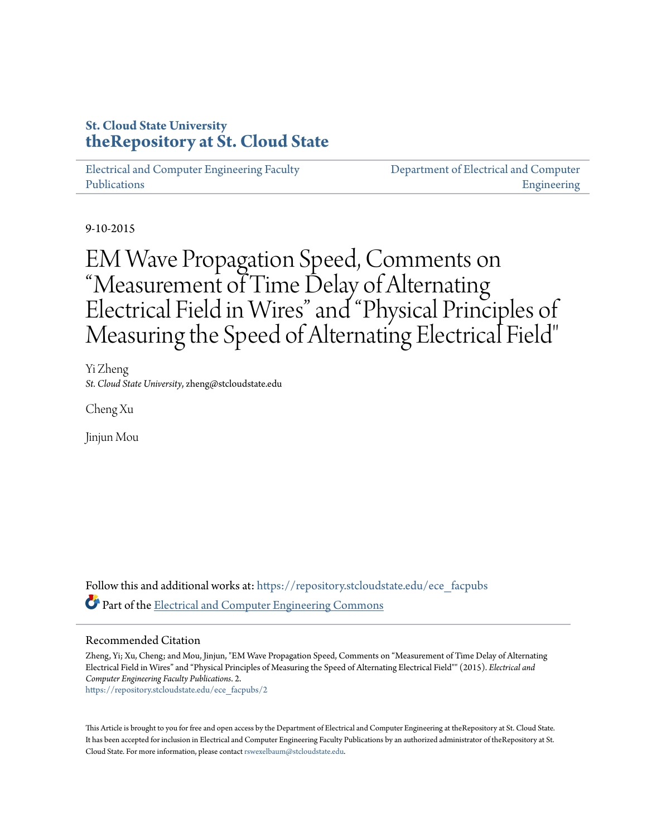# **St. Cloud State University [theRepository at St. Cloud State](https://repository.stcloudstate.edu?utm_source=repository.stcloudstate.edu%2Fece_facpubs%2F2&utm_medium=PDF&utm_campaign=PDFCoverPages)**

[Electrical and Computer Engineering Faculty](https://repository.stcloudstate.edu/ece_facpubs?utm_source=repository.stcloudstate.edu%2Fece_facpubs%2F2&utm_medium=PDF&utm_campaign=PDFCoverPages) [Publications](https://repository.stcloudstate.edu/ece_facpubs?utm_source=repository.stcloudstate.edu%2Fece_facpubs%2F2&utm_medium=PDF&utm_campaign=PDFCoverPages)

[Department of Electrical and Computer](https://repository.stcloudstate.edu/ece?utm_source=repository.stcloudstate.edu%2Fece_facpubs%2F2&utm_medium=PDF&utm_campaign=PDFCoverPages) [Engineering](https://repository.stcloudstate.edu/ece?utm_source=repository.stcloudstate.edu%2Fece_facpubs%2F2&utm_medium=PDF&utm_campaign=PDFCoverPages)

9-10-2015

# EM Wave Propagation Speed, Comments on "Measurement of Time Delay of Alternating Electrical Field in Wires" and "Physical Principles of Measuring the Speed of Alternating Electrical Field"

Yi Zheng *St. Cloud State University*, zheng@stcloudstate.edu

Cheng Xu

Jinjun Mou

Follow this and additional works at: [https://repository.stcloudstate.edu/ece\\_facpubs](https://repository.stcloudstate.edu/ece_facpubs?utm_source=repository.stcloudstate.edu%2Fece_facpubs%2F2&utm_medium=PDF&utm_campaign=PDFCoverPages) Part of the [Electrical and Computer Engineering Commons](http://network.bepress.com/hgg/discipline/266?utm_source=repository.stcloudstate.edu%2Fece_facpubs%2F2&utm_medium=PDF&utm_campaign=PDFCoverPages)

### Recommended Citation

Zheng, Yi; Xu, Cheng; and Mou, Jinjun, "EM Wave Propagation Speed, Comments on "Measurement of Time Delay of Alternating Electrical Field in Wires" and "Physical Principles of Measuring the Speed of Alternating Electrical Field"" (2015). *Electrical and Computer Engineering Faculty Publications*. 2. [https://repository.stcloudstate.edu/ece\\_facpubs/2](https://repository.stcloudstate.edu/ece_facpubs/2?utm_source=repository.stcloudstate.edu%2Fece_facpubs%2F2&utm_medium=PDF&utm_campaign=PDFCoverPages)

This Article is brought to you for free and open access by the Department of Electrical and Computer Engineering at theRepository at St. Cloud State. It has been accepted for inclusion in Electrical and Computer Engineering Faculty Publications by an authorized administrator of theRepository at St. Cloud State. For more information, please contact [rswexelbaum@stcloudstate.edu](mailto:rswexelbaum@stcloudstate.edu).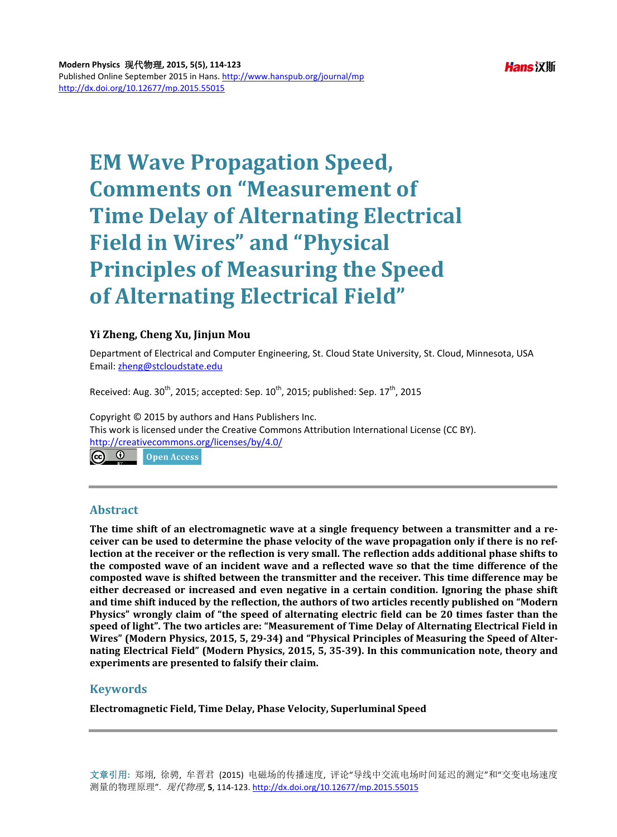# **EM Wave Propagation Speed, Comments on "Measurement of Time Delay of Alternating Electrical Field in Wires" and "Physical Principles of Measuring the Speed of Alternating Electrical Field"**

# **Yi Zheng, Cheng Xu, Jinjun Mou**

Department of Electrical and Computer Engineering, St. Cloud State University, St. Cloud, Minnesota, USA Email: [zheng@stcloudstate.edu](mailto:zheng@stcloudstate.edu)

Received: Aug.  $30<sup>th</sup>$ , 2015; accepted: Sep.  $10<sup>th</sup>$ , 2015; published: Sep.  $17<sup>th</sup>$ , 2015

Copyright © 2015 by authors and Hans Publishers Inc. This work is licensed under the Creative Commons Attribution International License (CC BY). <http://creativecommons.org/licenses/by/4.0/> ര $\circ$ ി Open Access

# **Abstract**

**The time shift of an electromagnetic wave at a single frequency between a transmitter and a receiver can be used to determine the phase velocity of the wave propagation only if there is no reflection at the receiver or the reflection is very small. The reflection adds additional phase shifts to the composted wave of an incident wave and a reflected wave so that the time difference of the composted wave is shifted between the transmitter and the receiver. This time difference may be either decreased or increased and even negative in a certain condition. Ignoring the phase shift and time shift induced by the reflection, the authors of two articles recently published on "Modern Physics" wrongly claim of "the speed of alternating electric field can be 20 times faster than the speed of light". The two articles are: "Measurement of Time Delay of Alternating Electrical Field in Wires" (Modern Physics, 2015, 5, 29-34) and "Physical Principles of Measuring the Speed of Alternating Electrical Field" (Modern Physics, 2015, 5, 35-39). In this communication note, theory and experiments are presented to falsify their claim.**

# **Keywords**

**Electromagnetic Field, Time Delay, Phase Velocity, Superluminal Speed**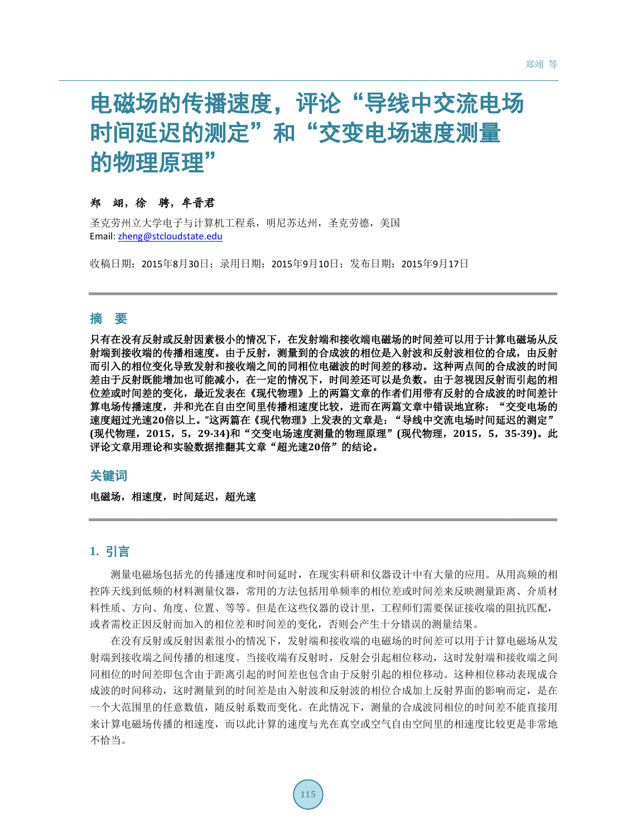# 电磁场的传播速度,评论"导线中交流电场 时间延迟的测定"和"交变电场速度测量 的物理原理"

# 郑翊,徐骋,牟晋君

圣克劳州立大学电子与计算机工程系,明尼苏达州,圣克劳德,美国 Email: [zheng@stcloudstate.edu](mailto:zheng@stcloudstate.edu)

收稿日期:2015年8月30日;录用日期:2015年9月10日;发布日期:2015年9月17日

# 摘 要

只有在没有反射或反射因素极小的情况下,在发射端和接收端电磁场的时间差可以用于计算电磁场从反 射端到接收端的传播相速度。由于反射,测量到的合成波的相位是入射波和反射波相位的合成,由反射 而引入的相位变化导致发射和接收端之间的同相位电磁波的时间差的移动。这种两点间的合成波的时间 差由于反射既能增加也可能减小,在一定的情况下,时间差还可以是负数。由于忽视因反射而引起的相 位差或时间差的变化,最近发表在《现代物理》上的两篇文章的作者们用带有反射的合成波的时间差计 算电场传播速度,并和光在自由空间里传播相速度比较,进而在两篇文章中错误地宣称: "交变电场的 速度超过光速**20**倍以上。**"**这两篇在《现代物理》上发表的文章是:"导线中交流电场时间延迟的测定" **(**现代物理,**2015**,**5**,**29-34)**和"交变电场速度测量的物理原理"**(**现代物理,**2015**,**5**,**35-39)**。此 评论文章用理论和实验数据推翻其文章"超光速**20**倍"的结论。

## 关键词

电磁场,相速度,时间延迟,超光速

# **1.** 引言

测量电磁场包括光的传播速度和时间延时,在现实科研和仪器设计中有大量的应用。从用高频的相 控阵天线到低频的材料测量仪器,常用的方法包括用单频率的相位差或时间差来反映测量距离、介质材 料性质、方向、角度、位置、等等。但是在这些仪器的设计里,工程师们需要保证接收端的阻抗匹配, 或者需校正因反射而加入的相位差和时间差的变化,否则会产生十分错误的测量结果。

在没有反射或反射因素很小的情况下,发射端和接收端的电磁场的时间差可以用于计算电磁场从发 射端到接收端之间传播的相速度。当接收端有反射时,反射会引起相位移动,这时发射端和接收端之间 同相位的时间差即包含由于距离引起的时间差也包含由于反射引起的相位移动。这种相位移动表现成合 成波的时间移动,这时测量到的时间差是由入射波和反射波的相位合成加上反射界面的影响而定,是在 一个大范围里的任意数值,随反射系数而变化。在此情况下,测量的合成波同相位的时间差不能直接用 来计算电磁场传播的相速度,而以此计算的速度与光在真空或空气自由空间里的相速度比较更是非常地 不恰当。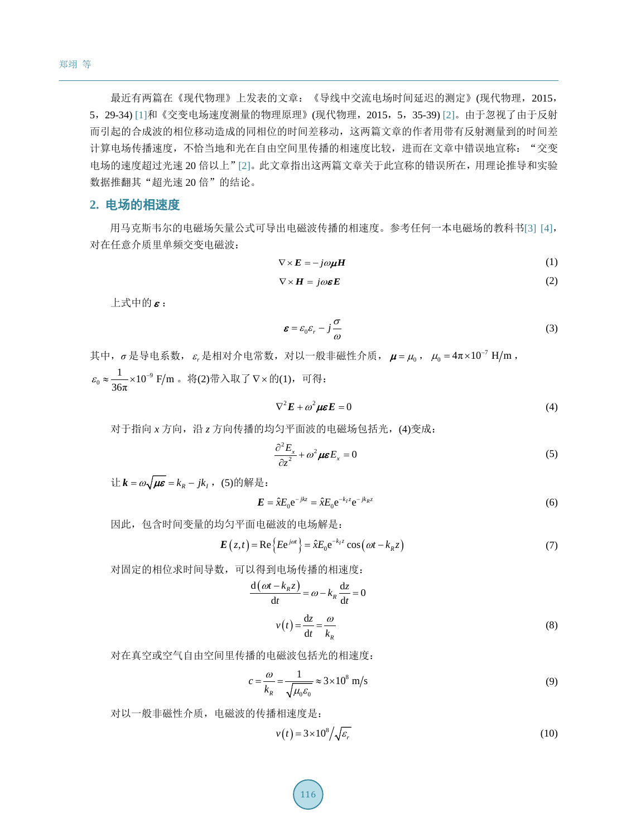最近有两篇在《现代物理》上发表的文章:《导线中交流电场时间延迟的测定》(现代物理,2015, 5,29-34) [\[1\]](#page-10-0)和《交变电场速度测量的物理原理》(现代物理,2015,5,35-39) [\[2\]](#page-10-1)。由于忽视了由于反射 而引起的合成波的相位移动造成的同相位的时间差移动,这两篇文章的作者用带有反射测量到的时间差 计算电场传播速度,不恰当地和光在自由空间里传播的相速度比较,进而在文章中错误地宣称: "交变 电场的速度超过光速 20 倍以上"[\[2\]](#page-10-1)。此文章指出这两篇文章关于此宣称的错误所在,用理论推导和实验 数据推翻其"超光速 20 倍"的结论。

### **2.** 电场的相速度

用马克斯韦尔的电磁场矢量公式可导出电磁波传播的相速度。参考任何一本电磁场的教科书[\[3\]](#page-10-2) [\[4\]](#page-10-3), 对在任意介质里单频交变电磁波:

$$
\nabla \times \boldsymbol{E} = -j\omega \boldsymbol{\mu} \boldsymbol{H} \tag{1}
$$

$$
\nabla \times \mathbf{H} = j\omega \boldsymbol{\varepsilon} \mathbf{E} \tag{2}
$$

 $\pm$ 式中的 $\varepsilon$ :

$$
\boldsymbol{\varepsilon} = \varepsilon_0 \varepsilon_r - j \frac{\sigma}{\omega} \tag{3}
$$

其中, σ是导电系数, ε,是相对介电常数, 对以一般非磁性介质, μ=μ<sub>0</sub>, μ<sub>0</sub>=4π×10<sup>-7</sup> H/m,  $_0 \approx \frac{1}{26} \times 10^{-9} \text{ F/m}$  $\varepsilon_0 \approx \frac{1}{36\pi} \times 10^{-9}$  F/m 。将(2)带入取了 ∇×的(1),可得:

$$
\nabla^2 \mathbf{E} + \omega^2 \mu \mathbf{\varepsilon} \mathbf{E} = 0 \tag{4}
$$

对于指向 *x* 方向,沿 *z* 方向传播的均匀平面波的电磁场包括光,(4)变成:

$$
\frac{\partial^2 E_x}{\partial z^2} + \omega^2 \mu \varepsilon E_x = 0 \tag{5}
$$

 $i\pm k = \omega \sqrt{\mu \varepsilon} = k_{\nu} - jk_{\nu}$ , (5)的解是:

$$
\boldsymbol{E} = \hat{\boldsymbol{x}} E_0 e^{-jkz} = \hat{\boldsymbol{x}} E_0 e^{-k_I z} e^{-jk_R z}
$$
(6)

因此,包含时间变量的均匀平面电磁波的电场解是:

$$
E(z,t) = \text{Re}\left\{Ee^{j\omega t}\right\} = \hat{x}E_0e^{-k_1z}\cos(\omega t - k_Rz)
$$
\n(7)

对固定的相位求时间导数,可以得到电场传播的相速度:

$$
\frac{d(\omega t - k_{R}z)}{dt} = \omega - k_{R} \frac{dz}{dt} = 0
$$
  

$$
v(t) = \frac{dz}{dt} = \frac{\omega}{k_{R}}
$$
 (8)

对在真空或空气自由空间里传播的电磁波包括光的相速度:

$$
c = \frac{\omega}{k_R} = \frac{1}{\sqrt{\mu_0 \varepsilon_0}} \approx 3 \times 10^8 \text{ m/s}
$$
 (9)

对以一般非磁性介质,电磁波的传播相速度是:

$$
v(t) = 3 \times 10^8 / \sqrt{\varepsilon_r}
$$
 (10)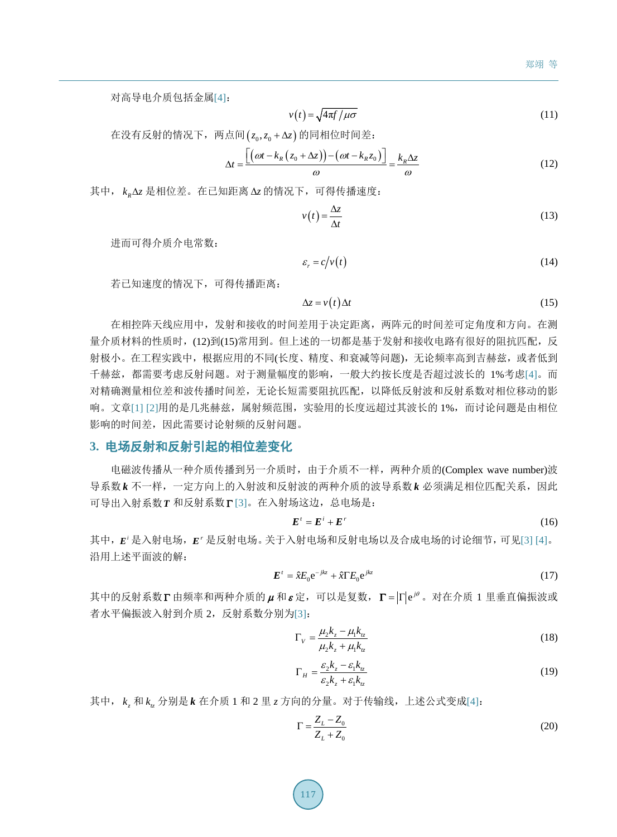对高导电介质包括金属[\[4\]](#page-10-3):

$$
v(t) = \sqrt{4\pi f/\mu \sigma} \tag{11}
$$

在没有反射的情况下, 两点间(z<sub>0</sub>,z<sub>0</sub> + Δz)的同相位时间差:

$$
\Delta t = \frac{\left[ \left( \omega t - k_R \left( z_0 + \Delta z \right) \right) - \left( \omega t - k_R z_0 \right) \right]}{\omega} = \frac{k_R \Delta z}{\omega} \tag{12}
$$

其中, *<sup>R</sup> k z* ∆ 是相位差。在已知距离 ∆*z* 的情况下,可得传播速度:

$$
v(t) = \frac{\Delta z}{\Delta t}
$$
 (13)

进而可得介质介电常数:

$$
\varepsilon_r = c/v(t) \tag{14}
$$

若已知速度的情况下,可得传播距离:

$$
\Delta z = v(t) \Delta t \tag{15}
$$

在相控阵天线应用中,发射和接收的时间差用于决定距离,两阵元的时间差可定角度和方向。在测 量介质材料的性质时,(12)到(15)常用到。但上述的一切都是基于发射和接收电路有很好的阻抗匹配,反 射极小。在工程实践中,根据应用的不同(长度、精度、和衰减等问题),无论频率高到吉赫兹,或者低到 千赫兹,都需要考虑反射问题。对于测量幅度的影响,一般大约按长度是否超过波长的 1%考虑[\[4\]](#page-10-3)。而 对精确测量相位差和波传播时间差,无论长短需要阻抗匹配,以降低反射波和反射系数对相位移动的影 响。文章[\[1\]](#page-10-0) [\[2\]](#page-10-1)用的是几兆赫兹,属射频范围,实验用的长度远超过其波长的 1%,而讨论问题是由相位 影响的时间差,因此需要讨论射频的反射问题。

#### **3.** 电场反射和反射引起的相位差变化

电磁波传播从一种介质传播到另一介质时,由于介质不一样,两种介质的(Complex wave number)波 导系数 k 不一样,一定方向上的入射波和反射波的两种介质的波导系数 k 必须满足相位匹配关系,因此 可导出入射系数*T* 和反射系数Γ [\[3\]](#page-10-2)。在入射场这边,总电场是:

$$
\boldsymbol{E}^t = \boldsymbol{E}^t + \boldsymbol{E}^r \tag{16}
$$

其中,  $E'$ 是入射电场,  $E'$ 是反射电场。关于入射电场和反射电场以及合成电场的讨论细节, 可见[\[3\]](#page-10-2) [\[4\]](#page-10-3)。 沿用上述平面波的解:

$$
\boldsymbol{E}^t = \hat{x} E_0 e^{-jkz} + \hat{x} \Gamma E_0 e^{jkz} \tag{17}
$$

其中的反射系数Γ由频率和两种介质的μ和ε定,可以是复数, Γ = |Γ|eiθ。对在介质 1 里垂直偏振波或 者水平偏振波入射到介质 2, 反射系数分别为[\[3\]](#page-10-2):

$$
\Gamma_{V} = \frac{\mu_{2}k_{z} - \mu_{1}k_{tz}}{\mu_{2}k_{z} + \mu_{1}k_{tz}}
$$
\n(18)

$$
\Gamma_H = \frac{\varepsilon_2 k_z - \varepsilon_1 k_{iz}}{\varepsilon_2 k_z + \varepsilon_1 k_{iz}}\tag{19}
$$

其中,  $k_{z}$  和  $k_{z}$  分别是  $k$  在介质 1 和 2 里  $z$  方向的分量。对于传输线, 上述公式变成[\[4\]](#page-10-3):

$$
\Gamma = \frac{Z_L - Z_0}{Z_L + Z_0} \tag{20}
$$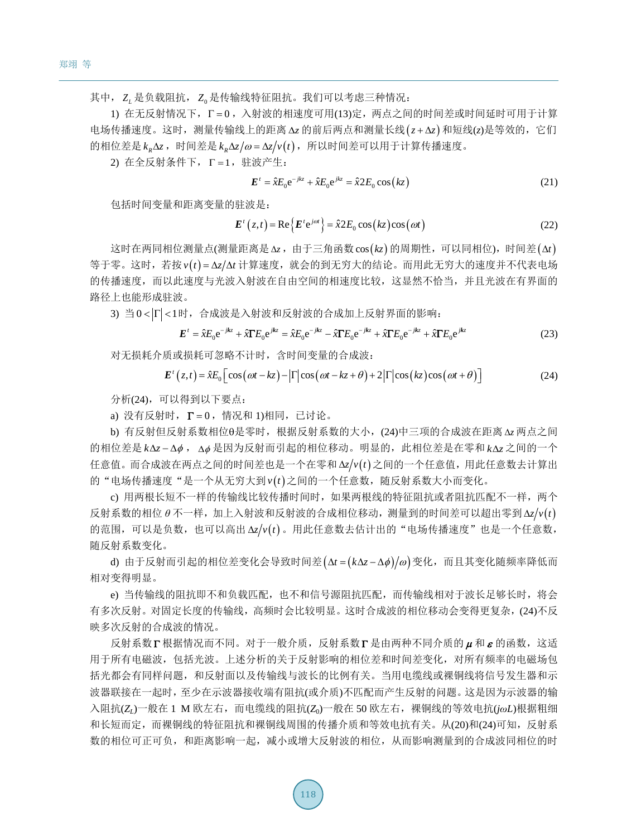其中, Z, 是负载阻抗, Z 是传输线特征阻抗。我们可以考虑三种情况:

1) 在无反射情况下, Γ = 0, 入射波的相速度可用(13)定, 两点之间的时间差或时间延时可用于计算 电场传播速度。这时,测量传输线上的距离 Δz 的前后两点和测量长线(z + Δz)和短线(z)是等效的, 它们 的相位差是  $k_{\nu}$   $\Delta z$ , 时间差是  $k_{\nu}$   $\Delta z/\omega$  =  $\Delta z/v(t)$ , 所以时间差可以用于计算传播速度。

 $(2)$  在全反射条件下,  $\Gamma = 1$ , 驻波产生:

$$
\boldsymbol{E}^t = \hat{\boldsymbol{x}} E_0 e^{-jkz} + \hat{\boldsymbol{x}} E_0 e^{jkz} = \hat{\boldsymbol{x}} 2 E_0 \cos(kz)
$$
 (21)

包括时间变量和距离变量的驻波是:

$$
\boldsymbol{E}^{t}\left(z,t\right) = \text{Re}\left\{\boldsymbol{E}^{t}e^{j\omega t}\right\} = \hat{x}2E_{0}\cos\left(kz\right)\cos\left(\omega t\right)
$$
\n(22)

这时在两同相位测量点(测量距离是Δz,由于三角函数cos(kz)的周期性,可以同相位),时间差(Δt) 等于零。这时,若按v(t)=Δz/Δt 计算速度, 就会的到无穷大的结论。而用此无穷大的速度并不代表电场 的传播速度,而以此速度与光波入射波在自由空间的相速度比较,这显然不恰当,并且光波在有界面的 路径上也能形成驻波。

3) 当 0 <  $|\Gamma|$  < 1 时, 合成波是入射波和反射波的合成加上反射界面的影响:

$$
E' = \hat{x} E_0 e^{-jkz} + \hat{x} \Gamma E_0 e^{jkz} = \hat{x} E_0 e^{-jkz} - \hat{x} \Gamma E_0 e^{-jkz} + \hat{x} \Gamma E_0 e^{-jkz} + \hat{x} \Gamma E_0 e^{jkz}
$$
(23)

对无损耗介质或损耗可忽略不计时,含时间变量的合成波:

$$
\boldsymbol{E}^{\prime}\left(z,t\right) = \hat{x}E_{0}\left[\cos\left(\omega t - kz\right) - \left|\Gamma\right|\cos\left(\omega t - kz + \theta\right) + 2\left|\Gamma\right|\cos\left(kz\right)\cos\left(\omega t + \theta\right)\right]
$$
\n(24)

分析(24),可以得到以下要点:

a) 没有反射时, Γ = 0, 情况和 1)相同, 已讨论。

b) 有反射但反射系数相位θ是零时,根据反射系数的大小,(24)中三项的合成波在距离 ∆*z* 两点之间 的相位差是 k Δz − Δø, Δø是因为反射而引起的相位移动。明显的, 此相位差是在零和 k Δz 之间的一个 任意值。而合成波在两点之间的时间差也是一个在零和 ∆*zvt*( ) 之间的一个任意值,用此任意数去计算出 的"电场传播速度"是一个从无穷大到 v(t) 之间的一个任意数, 随反射系数大小而变化。

c) 用两根长短不一样的传输线比较传播时间时, 如果两根线的特征阻抗或者阻抗匹配不一样, 两个  $\overline{D}$  反射系数的相位  $\theta$  不一样, 加上入射波和反射波的合成相位移动, 测量到的时间差可以超出零到 Δ*z*/ $v(t)$ 的范围,可以是负数,也可以高出 Δz/v(t)。用此任意数去估计出的"电场传播速度"也是一个任意数, 随反射系数变化。

d) 由于反射而引起的相位差变化会导致时间差(Δt = (kΔz - Δ¢)/ω) 变化, 而且其变化随频率降低而 相对变得明显。

e) 当传输线的阻抗即不和负载匹配, 也不和信号源阻抗匹配, 而传输线相对于波长足够长时, 将会 有多次反射。对固定长度的传输线,高频时会比较明显。这时合成波的相位移动会变得更复杂,(24)不反 映多次反射的合成波的情况。

反射系数 Γ 根据情况而不同。对于一般介质,反射系数 Γ 是由两种不同介质的 μ 和 ε 的函数, 这适 用于所有电磁波,包括光波。上述分析的关于反射影响的相位差和时间差变化,对所有频率的电磁场包 括光都会有同样问题,和反射面以及传输线与波长的比例有关。当用电缆线或裸铜线将信号发生器和示 波器联接在一起时,至少在示波器接收端有阻抗(或介质)不匹配而产生反射的问题。这是因为示波器的输 入阻抗(*ZL*)一般在 1 M 欧左右,而电缆线的阻抗(*Z*0)一般在 50 欧左右,裸铜线的等效电抗(*jωL*)根据粗细 和长短而定,而裸铜线的特征阻抗和裸铜线周围的传播介质和等效电抗有关。从(20)和(24)可知,反射系 数的相位可正可负,和距离影响一起,减小或增大反射波的相位,从而影响测量到的合成波同相位的时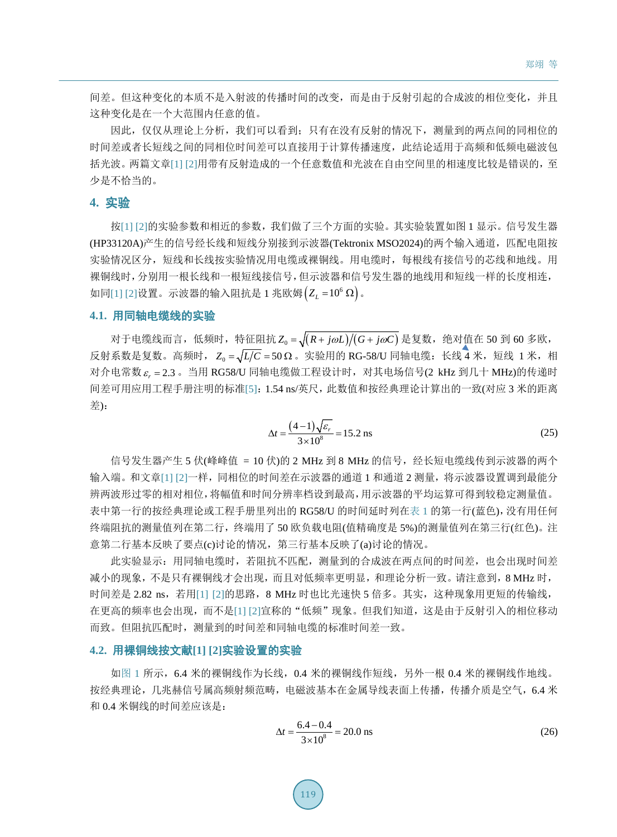间差。但这种变化的本质不是入射波的传播时间的改变,而是由于反射引起的合成波的相位变化,并且 这种变化是在一个大范围内任意的值。

因此,仅仅从理论上分析,我们可以看到;只有在没有反射的情况下,测量到的两点间的同相位的 时间差或者长短线之间的同相位时间差可以直接用于计算传播速度,此结论适用于高频和低频电磁波包 括光波。两篇文章[\[1\]](#page-10-0) [\[2\]](#page-10-1)用带有反射造成的一个任意数值和光波在自由空间里的相速度比较是错误的,至 少是不恰当的。

### **4.** 实验

按[\[1\]](#page-10-0) [\[2\]](#page-10-1)的实验参数和相近的参数,我们做了三个方面的实验。其实验装置如图 1 显示。信号发生器 (HP33120A)产生的信号经长线和短线分别接到示波器(Tektronix MSO2024)的两个输入通道, 匹配电阻按 实验情况区分,短线和长线按实验情况用电缆或裸铜线。用电缆时,每根线有接信号的芯线和地线。用 裸铜线时,分别用一根长线和一根短线接信号,但示波器和信号发生器的地线用和短线一样的长度相连,  $\text{Im}$ [\[1\]](#page-10-0) [\[2\]](#page-10-1)设置。示波器的输入阻抗是 1 兆欧姆 $\left( Z_{L}=10^{6}\ \Omega \right)$ 。

#### **4.1.** 用同轴电缆线的实验

对于电缆线而言,低频时,特征阻抗  $Z_0 = \sqrt{(R + j\omega L)/(G + j\omega C)}$ 是复数,绝对值在 50 到 60 多欧, 反射系数是复数。高频时,  $Z_0 = \sqrt{L/C} = 50 \Omega$ 。实验用的 RG-58/U 同轴电缆: 长线 4 米, 短线 1 米, 相 对介电常数  $\varepsilon$  = 2.3 。当用 RG58/U 同轴电缆做工程设计时, 对其电场信号(2 kHz 到几十 MHz)的传递时 间差可用应用工程手册注明的标准[\[5\]](#page-10-4):1.54 ns/英尺,此数值和按经典理论计算出的一致(对应 3 米的距离 差):

$$
\Delta t = \frac{(4-1)\sqrt{\varepsilon_r}}{3 \times 10^8} = 15.2 \text{ ns}
$$
 (25)

信号发生器产生 5 伏(峰峰值 = 10 伏)的 2 MHz 到 8 MHz 的信号, 经长短电缆线传到示波器的两个 输入端。和文章[\[1\]](#page-10-0) [\[2\]](#page-10-1)一样,同相位的时间差在示波器的通道 1 和通道 2 测量,将示波器设置调到最能分 辨两波形过零的相对相位,将幅值和时间分辨率档设到最高,用示波器的平均运算可得到较稳定测量值。 表中第一行的按经典理论或工程手册里列出的 RG58/U 的时间延时列[在表](#page-7-0) 1 的第一行(蓝色), 没有用任何 终端阻抗的测量值列在第二行,终端用了 50 欧负载电阻(值精确度是 5%)的测量值列在第三行(红色)。注 意第二行基本反映了要点(c)讨论的情况,第三行基本反映了(a)讨论的情况。

此实验显示:用同轴电缆时,若阻抗不匹配,测量到的合成波在两点间的时间差,也会出现时间差 减小的现象,不是只有裸铜线才会出现,而且对低频率更明显,和理论分析一致。请注意到,8 MHz 时, 时间差是 2.82 ns, 若用[\[1\]](#page-10-0) [\[2\]](#page-10-1)的思路, 8 MHz 时也比光速快 5 倍多。其实, 这种现象用更短的传输线, 在更高的频率也会出现,而不是[\[1\]](#page-10-0) [\[2\]](#page-10-1)宣称的"低频"现象。但我们知道,这是由于反射引入的相位移动 而致。但阻抗匹配时,测量到的时间差和同轴电缆的标准时间差一致。

### **4.2.** 用裸铜线按文献**[\[1\]](#page-10-0) [\[2\]](#page-10-1)**实验设置的实验

[如图](#page-7-1) 1 所示,6.4 米的裸铜线作为长线,0.4 米的裸铜线作短线,另外一根 0.4 米的裸铜线作地线。 按经典理论,几兆赫信号属高频射频范畴,电磁波基本在金属导线表面上传播,传播介质是空气,6.4 米 和 0.4 米铜线的时间差应该是:

$$
\Delta t = \frac{6.4 - 0.4}{3 \times 10^8} = 20.0 \text{ ns}
$$
 (26)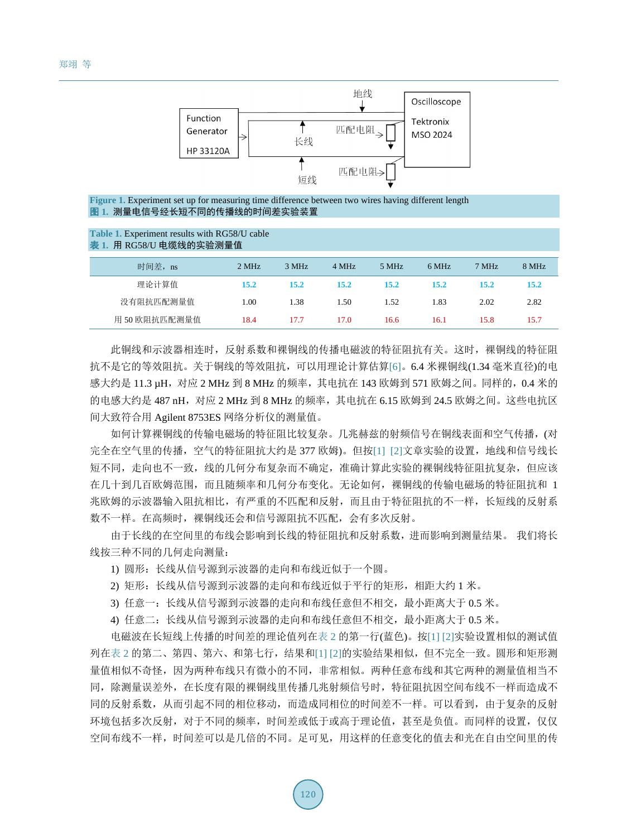

<span id="page-7-1"></span>**Figure 1.** Experiment set up for measuring time difference between two wires having different length 图 **1.** 测量电信号经长短不同的传播线的时间差实验装置

#### <span id="page-7-0"></span>**Table 1.** Experiment results with RG58/U cable 表 **1.** 用 RG58/U 电缆线的实验测量值

| 时间差, ns       | 2 MHz | 3 MHz | 4 MHz | 5 MHz       | 6 MHz | 7 MHz | 8 MHz |  |
|---------------|-------|-------|-------|-------------|-------|-------|-------|--|
| 理论计算值         | 15.2  | 15.2  | 15.2  | <b>15.2</b> | 15.2  | 15.2  | 15.2  |  |
| 没有阻抗匹配测量值     | 1.00  | 1.38  | 1.50  | 1.52        | 1.83  | 2.02  | 2.82  |  |
| 用 50 欧阻抗匹配测量值 | 18.4  | 17.7  | 17.0  | 16.6        | 16.1  | 15.8  | 15.7  |  |

此铜线和示波器相连时,反射系数和裸铜线的传播电磁波的特征阻抗有关。这时,裸铜线的特征阻 抗不是它的等效阻抗。关于铜线的等效阻抗,可以用理论计算估算[\[6\]](#page-10-5)。6.4 米裸铜线(1.34 毫米直径)的电 感大约是 11.3 µH,对应 2 MHz 到 8 MHz 的频率,其电抗在 143 欧姆到 571 欧姆之间。同样的,0.4 米的 的电感大约是 487 nH,对应 2 MHz 到 8 MHz 的频率,其电抗在 6.15 欧姆到 24.5 欧姆之间。这些电抗区 间大致符合用 Agilent 8753ES 网络分析仪的测量值。

如何计算裸铜线的传输电磁场的特征阻比较复杂。几兆赫兹的射频信号在铜线表面和空气传播,(对 完全在空气里的传播,空气的特征阻抗大约是 377 欧姆)。但按[\[1\]](#page-10-0) [\[2\]](#page-10-1)文章实验的设置,地线和信号线长 短不同,走向也不一致,线的几何分布复杂而不确定,准确计算此实验的裸铜线特征阻抗复杂,但应该 在几十到几百欧姆范围,而且随频率和几何分布变化。无论如何,裸铜线的传输电磁场的特征阻抗和 1 兆欧姆的示波器输入阻抗相比,有严重的不匹配和反射,而且由于特征阻抗的不一样,长短线的反射系 数不一样。在高频时,裸铜线还会和信号源阻抗不匹配,会有多次反射。

由于长线的在空间里的布线会影响到长线的特征阻抗和反射系数,进而影响到测量结果。 我们将长 线按三种不同的几何走向测量:

- 1) 圆形:长线从信号源到示波器的走向和布线近似于一个圆。
- 2) 矩形:长线从信号源到示波器的走向和布线近似于平行的矩形,相距大约 1 米。
- 3) 任意一:长线从信号源到示波器的走向和布线任意但不相交,最小距离大于 0.5 米。

4) 任意二:长线从信号源到示波器的走向和布线任意但不相交,最小距离大于 0.5 米。

电磁波在长短线上传播的时间差的理论值列[在表](#page-8-0) 2 的第一行(蓝色)。按[\[1\]](#page-10-0) [\[2\]](#page-10-1)实验设置相似的测试值 列[在表](#page-8-0) 2 的第二、第四、第六、和第七行,结果和[\[1\]](#page-10-0) [\[2\]](#page-10-1)的实验结果相似,但不完全一致。圆形和矩形测 量值相似不奇怪,因为两种布线只有微小的不同,非常相似。两种任意布线和其它两种的测量值相当不 同,除测量误差外,在长度有限的裸铜线里传播几兆射频信号时,特征阻抗因空间布线不一样而造成不 同的反射系数,从而引起不同的相位移动,而造成同相位的时间差不一样。可以看到,由于复杂的反射 环境包括多次反射,对于不同的频率,时间差或低于或高于理论值,甚至是负值。而同样的设置,仅仅 空间布线不一样,时间差可以是几倍的不同。足可见,用这样的任意变化的值去和光在自由空间里的传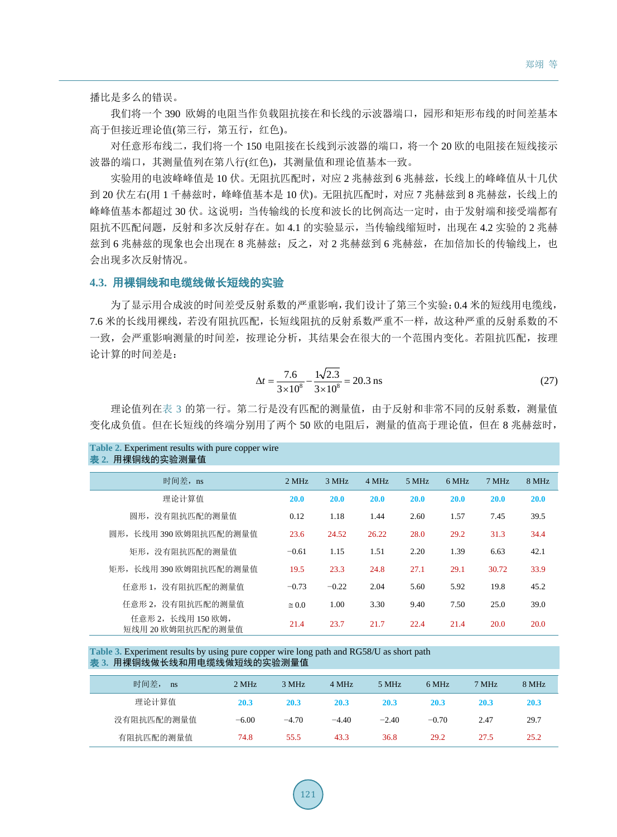播比是多么的错误。

我们将一个 390 欧姆的电阻当作负载阻抗接在和长线的示波器端口,园形和矩形布线的时间差基本 高于但接近理论值(第三行,第五行,红色)。

对任意形布线二,我们将一个 150 电阻接在长线到示波器的端口,将一个 20 欧的电阻接在短线接示 波器的端口,其测量值列在第八行(红色),其测量值和理论值基本一致。

实验用的电波峰峰值是 10 伏。无阻抗匹配时,对应 2 兆赫兹到 6 兆赫兹,长线上的峰峰值从十几伏 到 20 伏左右(用 1 千赫兹时,峰峰值基本是 10 伏)。无阻抗匹配时, 对应 7 兆赫兹到 8 兆赫兹, 长线上的 峰峰值基本都超过 30 伏。这说明: 当传输线的长度和波长的比例高达一定时,由于发射端和接受端都有 阻抗不匹配问题,反射和多次反射存在。如 4.1 的实验显示,当传输线缩短时,出现在 4.2 实验的 2 兆赫 兹到 6 兆赫兹的现象也会出现在 8 兆赫兹;反之, 对 2 兆赫兹到 6 兆赫兹, 在加倍加长的传输线上, 也 会出现多次反射情况。

### **4.3.** 用裸铜线和电缆线做长短线的实验

**Table 2. <b>Experiment results** with pure copper with pure copper with pure copper wire copper wire copper wire copper wire copper wire copper wire copper wire copper wire copper wire copper wire copper wire copper wire cop

为了显示用合成波的时间差受反射系数的严重影响,我们设计了第三个实验:0.4 米的短线用电缆线, 7.6 米的长线用裸线,若没有阻抗匹配,长短线阻抗的反射系数严重不一样,故这种严重的反射系数的不 一致,会严重影响测量的时间差,按理论分析,其结果会在很大的一个范围内变化。若阻抗匹配,按理 论计算的时间差是:

$$
\Delta t = \frac{7.6}{3 \times 10^8} - \frac{1\sqrt{2.3}}{3 \times 10^8} = 20.3 \text{ ns}
$$
 (27)

理论值列[在表](#page-8-1) 3 的第一行。第二行是没有匹配的测量值,由于反射和非常不同的反射系数,测量值 变化成负值。但在长短线的终端分别用了两个 50 欧的电阻后,测量的值高于理论值,但在 8 兆赫兹时,

<span id="page-8-0"></span>

| $\mu$ and $\mu$ . Experiment results with pure copper where<br>表 2. 用裸铜线的实验测量值 |               |             |       |       |             |       |             |
|--------------------------------------------------------------------------------|---------------|-------------|-------|-------|-------------|-------|-------------|
| 时间差, ns                                                                        | 2 MHz         | 3 MHz       | 4 MHz | 5 MHz | 6 MHz       | 7 MHz | 8 MHz       |
| 理论计算值                                                                          | <b>20.0</b>   | <b>20.0</b> | 20.0  | 20.0  | <b>20.0</b> | 20.0  | 20.0        |
| 圆形, 没有阻抗匹配的测量值                                                                 | 0.12          | 1.18        | 1.44  | 2.60  | 1.57        | 7.45  | 39.5        |
| 圆形, 长线用 390 欧姆阻抗匹配的测量值                                                         | 23.6          | 24.52       | 26.22 | 28.0  | 29.2        | 31.3  | 34.4        |
| 矩形, 没有阻抗匹配的测量值                                                                 | $-0.61$       | 1.15        | 1.51  | 2.20  | 1.39        | 6.63  | 42.1        |
| 矩形, 长线用 390 欧姆阻抗匹配的测量值                                                         | 19.5          | 23.3        | 24.8  | 27.1  | 29.1        | 30.72 | 33.9        |
| 任意形 1, 没有阻抗匹配的测量值                                                              | $-0.73$       | $-0.22$     | 2.04  | 5.60  | 5.92        | 19.8  | 45.2        |
| 任意形 2, 没有阻抗匹配的测量值                                                              | $\approx 0.0$ | 1.00        | 3.30  | 9.40  | 7.50        | 25.0  | 39.0        |
| 任意形 2, 长线用 150 欧姆,<br>短线用 20 欧姆阻抗匹配的测量值                                        | 21.4          | 23.7        | 21.7  | 22.4  | 21.4        | 20.0  | <b>20.0</b> |

<span id="page-8-1"></span>**Table 3.** Experiment results by using pure copper wire long path and RG58/U as short path 表 **3.** 用裸铜线做长线和用电缆线做短线的实验测量值

| 时间差,<br>ns | 2 MHz   | 3 MHz   | 4 MHz   | 5 MHz   | 6 MHz   | 7 MHz | 8 MHz |
|------------|---------|---------|---------|---------|---------|-------|-------|
| 理论计算值      | 20.3    | 20.3    | 20.3    | 20.3    | 20.3    | 20.3  | 20.3  |
| 没有阻抗匹配的测量值 | $-6.00$ | $-4.70$ | $-4.40$ | $-2.40$ | $-0.70$ | 2.47  | 29.7  |
| 有阻抗匹配的测量值  | 74.8    | 55.5    | 43.3    | 36.8    | 29.2    | 27.5  | 25.2  |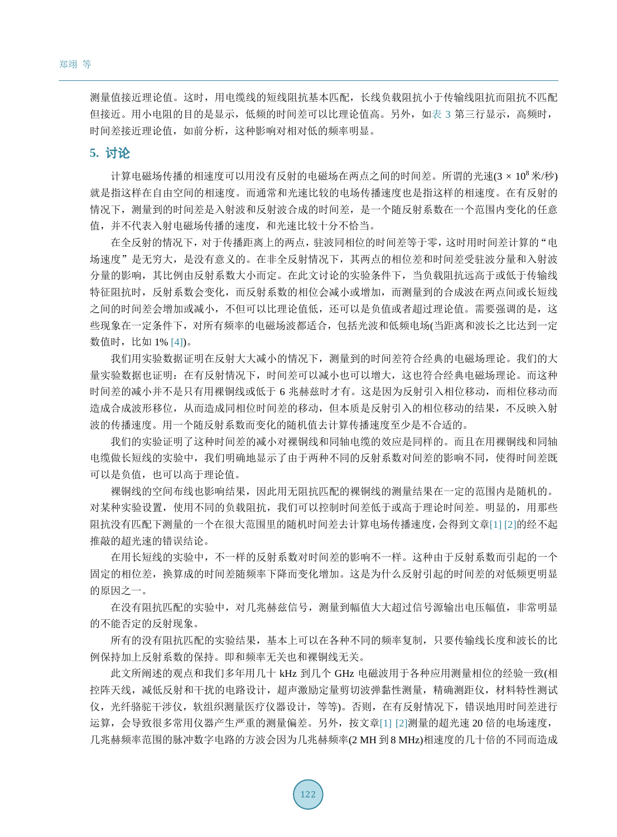测量值接近理论值。这时,用电缆线的短线阻抗基本匹配,长线负载阻抗小于传输线阻抗而阻抗不匹配 但接近。用小电阻的目的是显示,低频的时间差可以比理论值高。另外,[如表](#page-8-1) 3 第三行显示,高频时, 时间差接近理论值,如前分析,这种影响对相对低的频率明显。

### **5.** 讨论

计算电磁场传播的相速度可以用没有反射的电磁场在两点之间的时间差。所谓的光速(3 × 10<sup>8</sup>米/秒) 就是指这样在自由空间的相速度。而通常和光速比较的电场传播速度也是指这样的相速度。在有反射的 情况下,测量到的时间差是入射波和反射波合成的时间差,是一个随反射系数在一个范围内变化的任意 值,并不代表入射电磁场传播的速度,和光速比较十分不恰当。

在全反射的情况下,对于传播距离上的两点,驻波同相位的时间差等于零,这时用时间差计算的"电 场速度"是无穷大,是没有意义的。在非全反射情况下,其两点的相位差和时间差受驻波分量和入射波 分量的影响,其比例由反射系数大小而定。在此文讨论的实验条件下,当负载阻抗远高于或低于传输线 特征阻抗时,反射系数会变化,而反射系数的相位会减小或增加,而测量到的合成波在两点间或长短线 之间的时间差会增加或减小,不但可以比理论值低,还可以是负值或者超过理论值。需要强调的是,这 些现象在一定条件下,对所有频率的电磁场波都适合,包括光波和低频电场(当距离和波长之比达到一定 数值时,比如 1% [\[4\]\)](#page-10-3)。

我们用实验数据证明在反射大大减小的情况下,测量到的时间差符合经典的电磁场理论。我们的大 量实验数据也证明:在有反射情况下,时间差可以减小也可以增大,这也符合经典电磁场理论。而这种 时间差的减小并不是只有用裸铜线或低于 6 兆赫兹时才有。这是因为反射引入相位移动,而相位移动而 造成合成波形移位,从而造成同相位时间差的移动,但本质是反射引入的相位移动的结果,不反映入射 波的传播速度。用一个随反射系数而变化的随机值去计算传播速度至少是不合适的。

我们的实验证明了这种时间差的减小对裸铜线和同轴电缆的效应是同样的。而且在用裸铜线和同轴 电缆做长短线的实验中,我们明确地显示了由于两种不同的反射系数对间差的影响不同,使得时间差既 可以是负值,也可以高于理论值。

裸铜线的空间布线也影响结果,因此用无阻抗匹配的裸铜线的测量结果在一定的范围内是随机的。 对某种实验设置,使用不同的负载阻抗,我们可以控制时间差低于或高于理论时间差。明显的,用那些 阻抗没有匹配下测量的一个在很大范围里的随机时间差去计算电场传播速度,会得到文章[\[1\]](#page-10-0) [\[2\]](#page-10-1)的经不起 推敲的超光速的错误结论。

在用长短线的实验中,不一样的反射系数对时间差的影响不一样。这种由于反射系数而引起的一个 固定的相位差,换算成的时间差随频率下降而变化增加。这是为什么反射引起的时间差的对低频更明显 的原因之一。

在没有阻抗匹配的实验中,对几兆赫兹信号,测量到幅值大大超过信号源输出电压幅值,非常明显 的不能否定的反射现象。

所有的没有阻抗匹配的实验结果,基本上可以在各种不同的频率复制,只要传输线长度和波长的比 例保持加上反射系数的保持。即和频率无关也和裸铜线无关。

此文所阐述的观点和我们多年用几十 kHz 到几个 GHz 电磁波用于各种应用测量相位的经验一致(相 控阵天线,减低反射和干扰的电路设计,超声激励定量剪切波弹黏性测量,精确测距仪,材料特性测试 仪,光纤骆驼干涉仪,软组织测量医疗仪器设计,等等)。否则,在有反射情况下,错误地用时间差进行 运算,会导致很多常用仪器产生严重的测量偏差。另外,按文章[\[1\]](#page-10-0) [\[2\]](#page-10-1)测量的超光速 20 倍的电场速度, 几兆赫频率范围的脉冲数字电路的方波会因为几兆赫频率(2 MH 到 8 MHz)相速度的几十倍的不同而造成